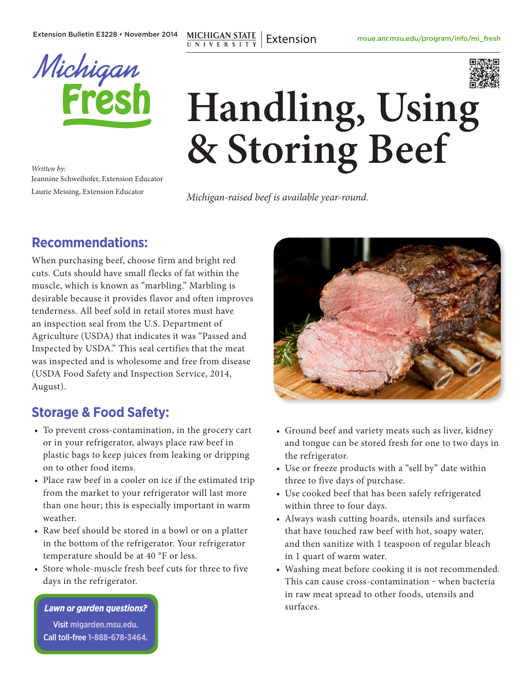Extension Bulletin E3228 • November 2014

**MICHIGAN STATE**<br>UNIVERSITY Extension



*Written by:* Jeannine Schweihofer, Extension Educator Laurie Messing, Extension Educator

# **Handling, Using & Storing Beef**

*Michigan-raised beef is available year-round.*

# **Recommendations:**

When purchasing beef, choose firm and bright red cuts. Cuts should have small flecks of fat within the muscle, which is known as "marbling." Marbling is desirable because it provides flavor and often improves tenderness. All beef sold in retail stores must have an inspection seal from the U.S. Department of Agriculture (USDA) that indicates it was "Passed and Inspected by USDA." This seal certifies that the meat was inspected and is wholesome and free from disease (USDA Food Safety and Inspection Service, 2014, August).

# **Storage & Food Safety:**

- To prevent cross-contamination, in the grocery cart or in your refrigerator, always place raw beef in plastic bags to keep juices from leaking or dripping on to other food items.
- Place raw beef in a cooler on ice if the estimated trip from the market to your refrigerator will last more than one hour; this is especially important in warm weather.
- Raw beef should be stored in a bowl or on a platter in the bottom of the refrigerator. Your refrigerator temperature should be at 40 °F or less.
- Store whole-muscle fresh beef cuts for three to five days in the refrigerator.

*Lawn or garden questions?*

Visit **[migarden.msu.edu](http://migarden.msu.edu/)**. Call toll-free **1-888-678-3464**.



- Ground beef and variety meats such as liver, kidney and tongue can be stored fresh for one to two days in the refrigerator.
- Use or freeze products with a "sell by" date within three to five days of purchase.
- Use cooked beef that has been safely refrigerated within three to four days.
- Always wash cutting boards, utensils and surfaces that have touched raw beef with hot, soapy water, and then sanitize with 1 teaspoon of regular bleach in 1 quart of warm water.
- Washing meat before cooking it is not recommended. This can cause cross-contamination - when bacteria in raw meat spread to other foods, utensils and surfaces.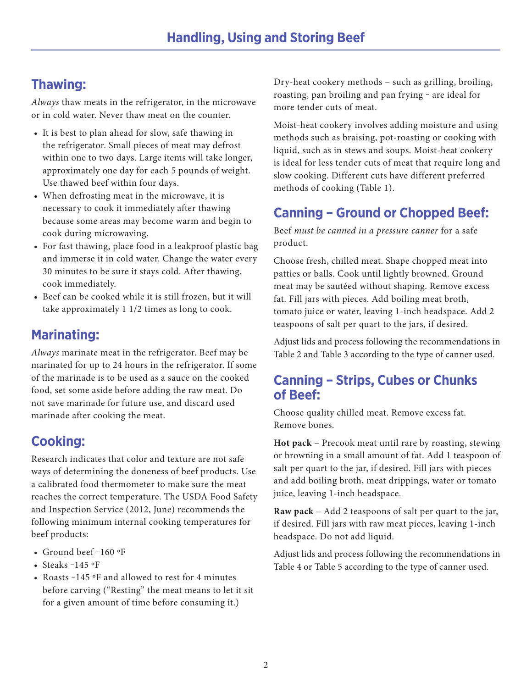# **Thawing:**

*Always* thaw meats in the refrigerator, in the microwave or in cold water. Never thaw meat on the counter.

- It is best to plan ahead for slow, safe thawing in the refrigerator. Small pieces of meat may defrost within one to two days. Large items will take longer, approximately one day for each 5 pounds of weight. Use thawed beef within four days.
- When defrosting meat in the microwave, it is necessary to cook it immediately after thawing because some areas may become warm and begin to cook during microwaving.
- For fast thawing, place food in a leakproof plastic bag and immerse it in cold water. Change the water every 30 minutes to be sure it stays cold. After thawing, cook immediately.
- Beef can be cooked while it is still frozen, but it will take approximately 1 1/2 times as long to cook.

# **Marinating:**

*Always* marinate meat in the refrigerator. Beef may be marinated for up to 24 hours in the refrigerator. If some of the marinade is to be used as a sauce on the cooked food, set some aside before adding the raw meat. Do not save marinade for future use, and discard used marinade after cooking the meat.

# **Cooking:**

Research indicates that color and texture are not safe ways of determining the doneness of beef products. Use a calibrated food thermometer to make sure the meat reaches the correct temperature. The USDA Food Safety and Inspection Service (2012, June) recommends the following minimum internal cooking temperatures for beef products:

- Ground beef -160 °F
- Steaks  $-145$  °F
- Roasts -145 °F and allowed to rest for 4 minutes before carving ("Resting" the meat means to let it sit for a given amount of time before consuming it.)

Dry-heat cookery methods – such as grilling, broiling, roasting, pan broiling and pan frying - are ideal for more tender cuts of meat.

Moist-heat cookery involves adding moisture and using methods such as braising, pot-roasting or cooking with liquid, such as in stews and soups. Moist-heat cookery is ideal for less tender cuts of meat that require long and slow cooking. Different cuts have different preferred methods of cooking (Table 1).

# **Canning – Ground or Chopped Beef:**

Beef *must be canned in a pressure canner* for a safe product.

Choose fresh, chilled meat. Shape chopped meat into patties or balls. Cook until lightly browned. Ground meat may be sautéed without shaping. Remove excess fat. Fill jars with pieces. Add boiling meat broth, tomato juice or water, leaving 1-inch headspace. Add 2 teaspoons of salt per quart to the jars, if desired.

Adjust lids and process following the recommendations in Table 2 and Table 3 according to the type of canner used.

#### **Canning – Strips, Cubes or Chunks of Beef:**

Choose quality chilled meat. Remove excess fat. Remove bones.

**Hot pack** – Precook meat until rare by roasting, stewing or browning in a small amount of fat. Add 1 teaspoon of salt per quart to the jar, if desired. Fill jars with pieces and add boiling broth, meat drippings, water or tomato juice, leaving 1-inch headspace.

**Raw pack** – Add 2 teaspoons of salt per quart to the jar, if desired. Fill jars with raw meat pieces, leaving 1-inch headspace. Do not add liquid.

Adjust lids and process following the recommendations in Table 4 or Table 5 according to the type of canner used.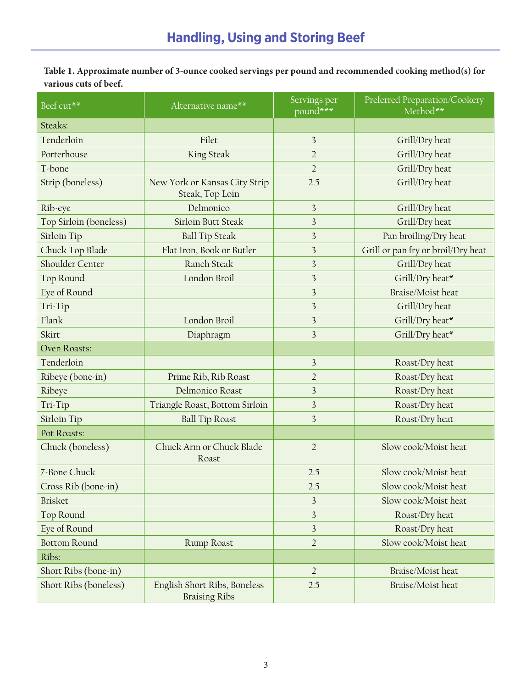| Table 1. Approximate number of 3-ounce cooked servings per pound and recommended cooking method(s) for |
|--------------------------------------------------------------------------------------------------------|
| various cuts of beef.                                                                                  |

| Beef cut**             | Alternative name**                                   | Servings per<br>pound***                  | Preferred Preparation/Cookery<br>Method** |  |
|------------------------|------------------------------------------------------|-------------------------------------------|-------------------------------------------|--|
| Steaks:                |                                                      |                                           |                                           |  |
| Tenderloin             | Filet                                                | 3                                         | Grill/Dry heat                            |  |
| Porterhouse            | King Steak                                           | $\overline{2}$                            | Grill/Dry heat                            |  |
| T-bone                 |                                                      | $\overline{2}$                            | Grill/Dry heat                            |  |
| Strip (boneless)       | New York or Kansas City Strip<br>Steak, Top Loin     | 2.5                                       | Grill/Dry heat                            |  |
| Rib-eye                | Delmonico                                            | 3                                         | Grill/Dry heat                            |  |
| Top Sirloin (boneless) | Sirloin Butt Steak                                   | $\overline{\mathbf{3}}$                   | Grill/Dry heat                            |  |
| Sirloin Tip            | <b>Ball Tip Steak</b>                                | 3                                         | Pan broiling/Dry heat                     |  |
| Chuck Top Blade        | Flat Iron, Book or Butler                            | 3                                         | Grill or pan fry or broil/Dry heat        |  |
| Shoulder Center        | Ranch Steak                                          | 3                                         | Grill/Dry heat                            |  |
| Top Round              | London Broil                                         | 3                                         | Grill/Dry heat*                           |  |
| Eye of Round           |                                                      | $\overline{3}$                            | Braise/Moist heat                         |  |
| Tri-Tip                |                                                      | 3                                         | Grill/Dry heat                            |  |
| Flank                  | London Broil                                         | 3                                         | Grill/Dry heat*                           |  |
| Skirt                  | Diaphragm                                            | 3                                         | Grill/Dry heat*                           |  |
| Oven Roasts:           |                                                      |                                           |                                           |  |
| Tenderloin             |                                                      | 3                                         | Roast/Dry heat                            |  |
| Ribeye (bone-in)       | Prime Rib, Rib Roast                                 | $\overline{2}$                            | Roast/Dry heat                            |  |
| Ribeye                 | Delmonico Roast                                      | 3                                         | Roast/Dry heat                            |  |
| Tri-Tip                | Triangle Roast, Bottom Sirloin                       | $\overline{\mathbf{3}}$                   | Roast/Dry heat                            |  |
| Sirloin Tip            | <b>Ball Tip Roast</b>                                | 3                                         | Roast/Dry heat                            |  |
| Pot Roasts:            |                                                      |                                           |                                           |  |
| Chuck (boneless)       | Chuck Arm or Chuck Blade<br>Roast                    | $\overline{2}$                            | Slow cook/Moist heat                      |  |
| 7-Bone Chuck           |                                                      | 2.5                                       | Slow cook/Moist heat                      |  |
| Cross Rib (bone-in)    |                                                      | Slow cook/Moist heat<br>2.5               |                                           |  |
| <b>Brisket</b>         |                                                      | Slow cook/Moist heat<br>3                 |                                           |  |
| Top Round              |                                                      | $\overline{\mathbf{3}}$<br>Roast/Dry heat |                                           |  |
| Eye of Round           |                                                      | 3<br>Roast/Dry heat                       |                                           |  |
| <b>Bottom Round</b>    | Rump Roast                                           | $\overline{2}$                            | Slow cook/Moist heat                      |  |
| Ribs:                  |                                                      |                                           |                                           |  |
| Short Ribs (bone-in)   |                                                      | $\overline{2}$                            | Braise/Moist heat                         |  |
| Short Ribs (boneless)  | English Short Ribs, Boneless<br><b>Braising Ribs</b> | 2.5                                       | Braise/Moist heat                         |  |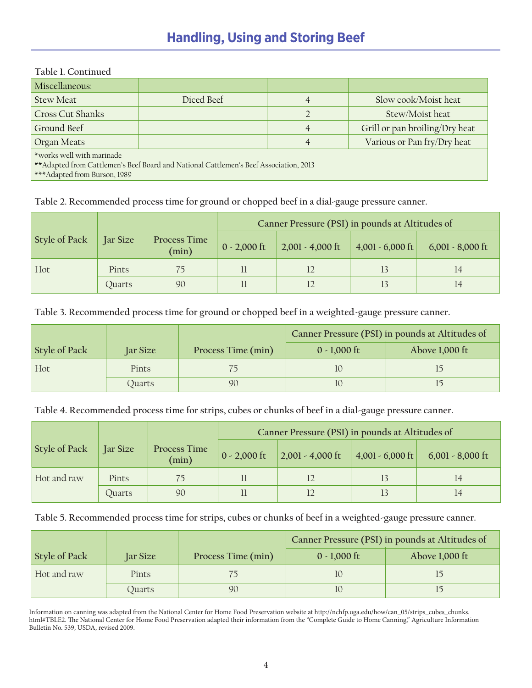# **Handling, Using and Storing Beef**

| Table 1. Continued                                                                                                                                   |            |   |                                |  |  |  |
|------------------------------------------------------------------------------------------------------------------------------------------------------|------------|---|--------------------------------|--|--|--|
| Miscellaneous:                                                                                                                                       |            |   |                                |  |  |  |
| <b>Stew Meat</b>                                                                                                                                     | Diced Beef |   | Slow cook/Moist heat           |  |  |  |
| <b>Cross Cut Shanks</b>                                                                                                                              |            |   | Stew/Moist heat                |  |  |  |
| Ground Beef                                                                                                                                          |            | 4 | Grill or pan broiling/Dry heat |  |  |  |
| Organ Meats                                                                                                                                          |            |   | Various or Pan fry/Dry heat    |  |  |  |
| *works well with marinade<br>** Adapted from Cattlemen's Beef Board and National Cattlemen's Beef Association, 2013<br>*** Adapted from Burson, 1989 |            |   |                                |  |  |  |

**Table 2. Recommended process time for ground or chopped beef in a dial-gauge pressure canner.**

|               |                 |                       | Canner Pressure (PSI) in pounds at Altitudes of |                    |                    |                    |
|---------------|-----------------|-----------------------|-------------------------------------------------|--------------------|--------------------|--------------------|
| Style of Pack | <b>Jar Size</b> | Process Time<br>(min) | $0 - 2,000$ ft                                  | $2,001 - 4,000$ ft | $4,001 - 6,000$ ft | $6,001 - 8,000$ ft |
| Hot           | Pints           |                       |                                                 |                    |                    | 14                 |
|               | Quarts          | 90                    |                                                 |                    |                    |                    |

**Table 3. Recommended process time for ground or chopped beef in a weighted-gauge pressure canner.**

|               |              |                    | Canner Pressure (PSI) in pounds at Altitudes of |                |  |
|---------------|--------------|--------------------|-------------------------------------------------|----------------|--|
| Style of Pack | Jar Size     | Process Time (min) | $0 - 1,000$ ft                                  | Above 1,000 ft |  |
| Hot           | <b>Pints</b> |                    |                                                 |                |  |
|               | Ouarts       | 90                 |                                                 |                |  |

**Table 4. Recommended process time for strips, cubes or chunks of beef in a dial-gauge pressure canner.**

|                      |                 |                              | Canner Pressure (PSI) in pounds at Altitudes of |                                        |                    |                    |
|----------------------|-----------------|------------------------------|-------------------------------------------------|----------------------------------------|--------------------|--------------------|
| <b>Style of Pack</b> | <b>Jar Size</b> | <b>Process Time</b><br>(min) | $0 - 2,000$ ft                                  | $\vert 2,001 - 4,000 \text{ ft} \vert$ | $4,001 - 6,000$ ft | $6,001 - 8,000$ ft |
| Hot and raw          | Pints           | 75                           |                                                 |                                        |                    | 14                 |
|                      | Ouarts          | 90                           |                                                 |                                        |                    |                    |

**Table 5. Recommended process time for strips, cubes or chunks of beef in a weighted-gauge pressure canner.**

|               |          |                    | Canner Pressure (PSI) in pounds at Altitudes of |                |  |
|---------------|----------|--------------------|-------------------------------------------------|----------------|--|
| Style of Pack | Jar Size | Process Time (min) | $0 - 1,000$ ft                                  | Above 1,000 ft |  |
| Hot and raw   | Pints    |                    |                                                 |                |  |
|               | Ouarts   | 90                 |                                                 |                |  |

Information on canning was adapted from the National Center for Home Food Preservation website at http://nchfp.uga.edu/how/can\_05/strips\_cubes\_chunks. html#TBLE2. The National Center for Home Food Preservation adapted their information from the "Complete Guide to Home Canning," Agriculture Information Bulletin No. 539, USDA, revised 2009.